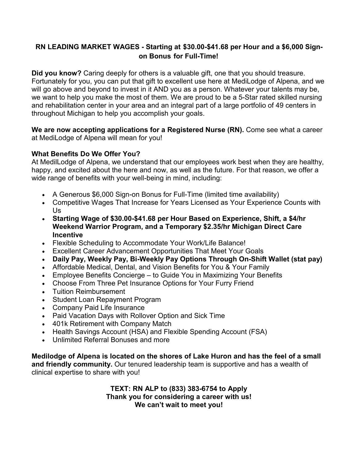# **RN LEADING MARKET WAGES - Starting at \$30.00-\$41.68 per Hour and a \$6,000 Signon Bonus for Full-Time!**

**Did you know?** Caring deeply for others is a valuable gift, one that you should treasure. Fortunately for you, you can put that gift to excellent use here at MediLodge of Alpena, and we will go above and beyond to invest in it AND you as a person. Whatever your talents may be, we want to help you make the most of them. We are proud to be a 5-Star rated skilled nursing and rehabilitation center in your area and an integral part of a large portfolio of 49 centers in throughout Michigan to help you accomplish your goals.

**We are now accepting applications for a Registered Nurse (RN).** Come see what a career at MediLodge of Alpena will mean for you!

#### **What Benefits Do We Offer You?**

At MedilLodge of Alpena, we understand that our employees work best when they are healthy, happy, and excited about the here and now, as well as the future. For that reason, we offer a wide range of benefits with your well-being in mind, including:

- A Generous \$6,000 Sign-on Bonus for Full-Time (limited time availability)
- Competitive Wages That Increase for Years Licensed as Your Experience Counts with Us
- **Starting Wage of \$30.00-\$41.68 per Hour Based on Experience, Shift, a \$4/hr Weekend Warrior Program, and a Temporary \$2.35/hr Michigan Direct Care Incentive**
- Flexible Scheduling to Accommodate Your Work/Life Balance!
- Excellent Career Advancement Opportunities That Meet Your Goals
- **Daily Pay, Weekly Pay, Bi-Weekly Pay Options Through On-Shift Wallet (stat pay)**
- Affordable Medical, Dental, and Vision Benefits for You & Your Family
- Employee Benefits Concierge to Guide You in Maximizing Your Benefits
- Choose From Three Pet Insurance Options for Your Furry Friend
- Tuition Reimbursement
- Student Loan Repayment Program
- Company Paid Life Insurance
- Paid Vacation Days with Rollover Option and Sick Time
- 401k Retirement with Company Match
- Health Savings Account (HSA) and Flexible Spending Account (FSA)
- Unlimited Referral Bonuses and more

**Medilodge of Alpena is located on the shores of Lake Huron and has the feel of a small and friendly community.** Our tenured leadership team is supportive and has a wealth of clinical expertise to share with you!

> **TEXT: RN ALP to (833) 383-6754 to Apply Thank you for considering a career with us! We can't wait to meet you!**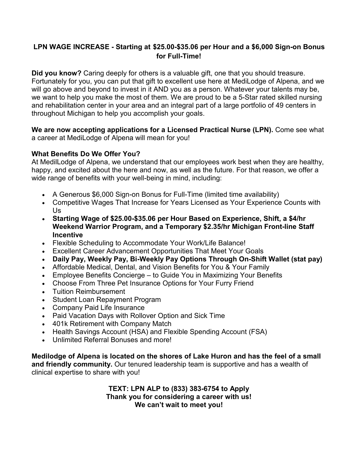# **LPN WAGE INCREASE - Starting at \$25.00-\$35.06 per Hour and a \$6,000 Sign-on Bonus for Full-Time!**

**Did you know?** Caring deeply for others is a valuable gift, one that you should treasure. Fortunately for you, you can put that gift to excellent use here at MediLodge of Alpena, and we will go above and beyond to invest in it AND you as a person. Whatever your talents may be, we want to help you make the most of them. We are proud to be a 5-Star rated skilled nursing and rehabilitation center in your area and an integral part of a large portfolio of 49 centers in throughout Michigan to help you accomplish your goals.

**We are now accepting applications for a Licensed Practical Nurse (LPN).** Come see what a career at MediLodge of Alpena will mean for you!

### **What Benefits Do We Offer You?**

At MedilLodge of Alpena, we understand that our employees work best when they are healthy, happy, and excited about the here and now, as well as the future. For that reason, we offer a wide range of benefits with your well-being in mind, including:

- A Generous \$6,000 Sign-on Bonus for Full-Time (limited time availability)
- Competitive Wages That Increase for Years Licensed as Your Experience Counts with Us
- **Starting Wage of \$25.00-\$35.06 per Hour Based on Experience, Shift, a \$4/hr Weekend Warrior Program, and a Temporary \$2.35/hr Michigan Front-line Staff Incentive**
- Flexible Scheduling to Accommodate Your Work/Life Balance!
- Excellent Career Advancement Opportunities That Meet Your Goals
- **Daily Pay, Weekly Pay, Bi-Weekly Pay Options Through On-Shift Wallet (stat pay)**
- Affordable Medical, Dental, and Vision Benefits for You & Your Family
- Employee Benefits Concierge to Guide You in Maximizing Your Benefits
- Choose From Three Pet Insurance Options for Your Furry Friend
- Tuition Reimbursement
- Student Loan Repayment Program
- Company Paid Life Insurance
- Paid Vacation Days with Rollover Option and Sick Time
- 401k Retirement with Company Match
- Health Savings Account (HSA) and Flexible Spending Account (FSA)
- Unlimited Referral Bonuses and more!

**Medilodge of Alpena is located on the shores of Lake Huron and has the feel of a small and friendly community.** Our tenured leadership team is supportive and has a wealth of clinical expertise to share with you!

> **TEXT: LPN ALP to (833) 383-6754 to Apply Thank you for considering a career with us! We can't wait to meet you!**